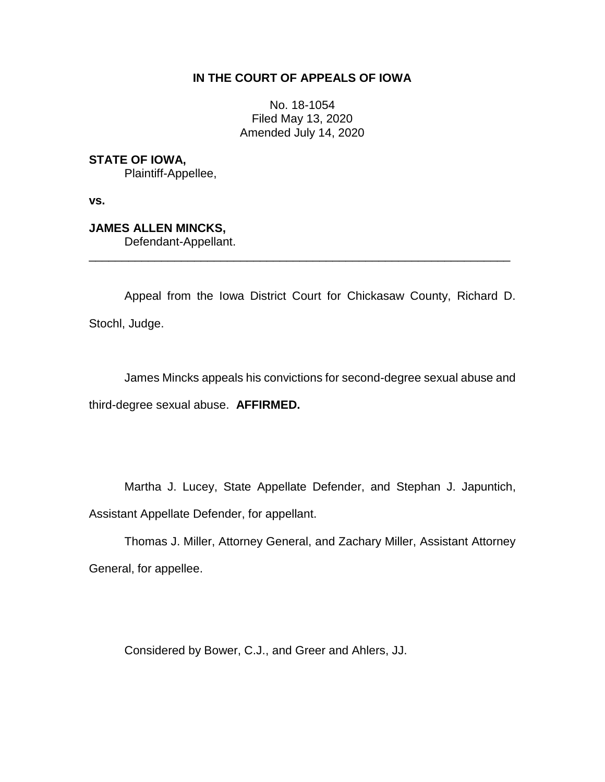# **IN THE COURT OF APPEALS OF IOWA**

No. 18-1054 Filed May 13, 2020 Amended July 14, 2020

**STATE OF IOWA,**

Plaintiff-Appellee,

**vs.**

**JAMES ALLEN MINCKS,**

Defendant-Appellant.

Appeal from the Iowa District Court for Chickasaw County, Richard D. Stochl, Judge.

\_\_\_\_\_\_\_\_\_\_\_\_\_\_\_\_\_\_\_\_\_\_\_\_\_\_\_\_\_\_\_\_\_\_\_\_\_\_\_\_\_\_\_\_\_\_\_\_\_\_\_\_\_\_\_\_\_\_\_\_\_\_\_\_

James Mincks appeals his convictions for second-degree sexual abuse and third-degree sexual abuse. **AFFIRMED.**

Martha J. Lucey, State Appellate Defender, and Stephan J. Japuntich, Assistant Appellate Defender, for appellant.

Thomas J. Miller, Attorney General, and Zachary Miller, Assistant Attorney General, for appellee.

Considered by Bower, C.J., and Greer and Ahlers, JJ.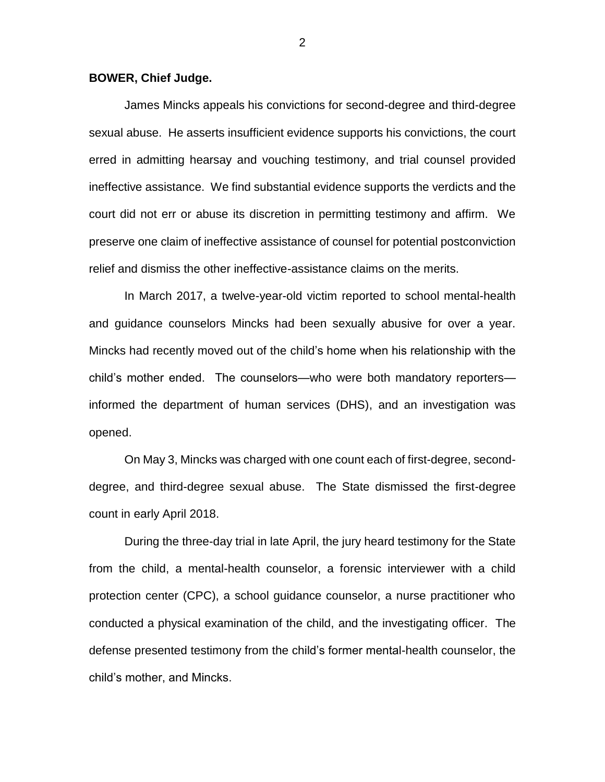### **BOWER, Chief Judge.**

James Mincks appeals his convictions for second-degree and third-degree sexual abuse. He asserts insufficient evidence supports his convictions, the court erred in admitting hearsay and vouching testimony, and trial counsel provided ineffective assistance. We find substantial evidence supports the verdicts and the court did not err or abuse its discretion in permitting testimony and affirm. We preserve one claim of ineffective assistance of counsel for potential postconviction relief and dismiss the other ineffective-assistance claims on the merits.

In March 2017, a twelve-year-old victim reported to school mental-health and guidance counselors Mincks had been sexually abusive for over a year. Mincks had recently moved out of the child's home when his relationship with the child's mother ended. The counselors—who were both mandatory reporters informed the department of human services (DHS), and an investigation was opened.

On May 3, Mincks was charged with one count each of first-degree, seconddegree, and third-degree sexual abuse. The State dismissed the first-degree count in early April 2018.

During the three-day trial in late April, the jury heard testimony for the State from the child, a mental-health counselor, a forensic interviewer with a child protection center (CPC), a school guidance counselor, a nurse practitioner who conducted a physical examination of the child, and the investigating officer. The defense presented testimony from the child's former mental-health counselor, the child's mother, and Mincks.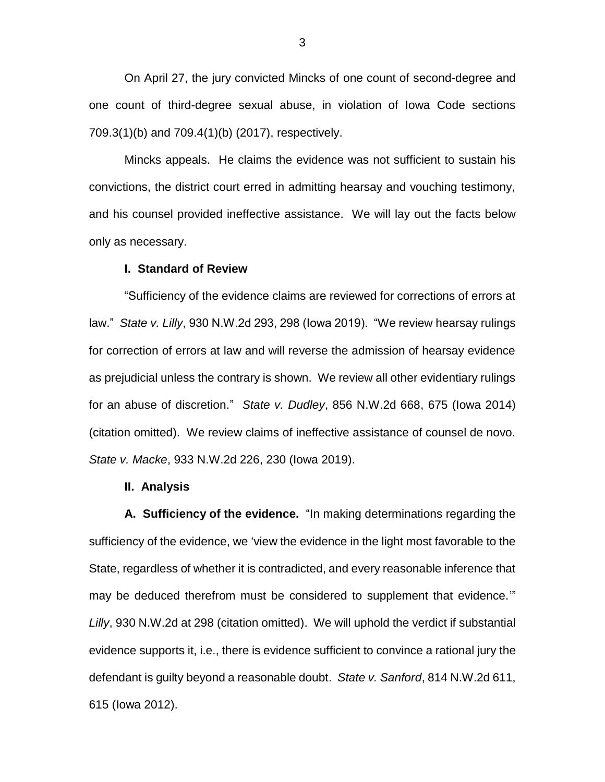On April 27, the jury convicted Mincks of one count of second-degree and one count of third-degree sexual abuse, in violation of Iowa Code sections 709.3(1)(b) and 709.4(1)(b) (2017), respectively.

Mincks appeals. He claims the evidence was not sufficient to sustain his convictions, the district court erred in admitting hearsay and vouching testimony, and his counsel provided ineffective assistance. We will lay out the facts below only as necessary.

#### **I. Standard of Review**

"Sufficiency of the evidence claims are reviewed for corrections of errors at law." *State v. Lilly*, 930 N.W.2d 293, 298 (Iowa 2019). "We review hearsay rulings for correction of errors at law and will reverse the admission of hearsay evidence as prejudicial unless the contrary is shown. We review all other evidentiary rulings for an abuse of discretion." *State v. Dudley*, 856 N.W.2d 668, 675 (Iowa 2014) (citation omitted). We review claims of ineffective assistance of counsel de novo. *State v. Macke*, 933 N.W.2d 226, 230 (Iowa 2019).

#### **II. Analysis**

**A. Sufficiency of the evidence.** "In making determinations regarding the sufficiency of the evidence, we 'view the evidence in the light most favorable to the State, regardless of whether it is contradicted, and every reasonable inference that may be deduced therefrom must be considered to supplement that evidence.'" *Lilly*, 930 N.W.2d at 298 (citation omitted). We will uphold the verdict if substantial evidence supports it, i.e., there is evidence sufficient to convince a rational jury the defendant is guilty beyond a reasonable doubt. *State v. Sanford*, 814 N.W.2d 611, 615 (Iowa 2012).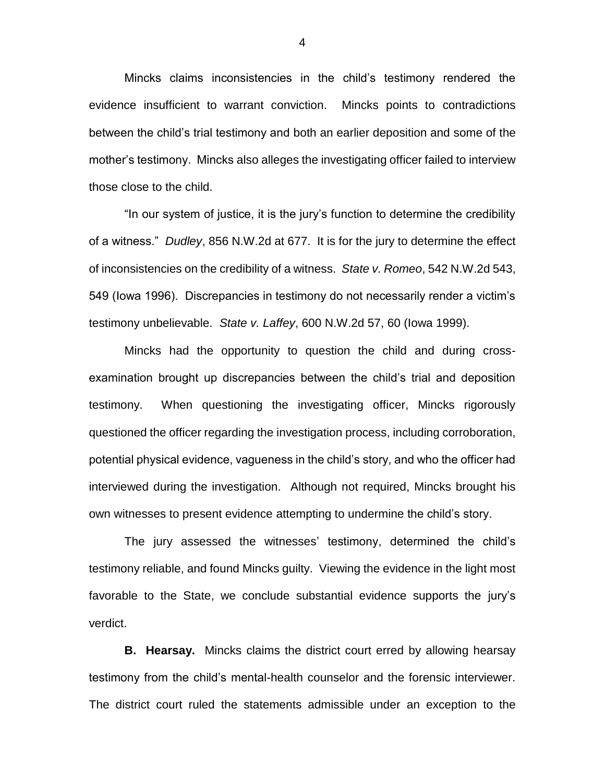Mincks claims inconsistencies in the child's testimony rendered the evidence insufficient to warrant conviction. Mincks points to contradictions between the child's trial testimony and both an earlier deposition and some of the mother's testimony. Mincks also alleges the investigating officer failed to interview those close to the child.

"In our system of justice, it is the jury's function to determine the credibility of a witness." *Dudley*, 856 N.W.2d at 677. It is for the jury to determine the effect of inconsistencies on the credibility of a witness. *State v. Romeo*, 542 N.W.2d 543, 549 (Iowa 1996). Discrepancies in testimony do not necessarily render a victim's testimony unbelievable. *State v. Laffey*, 600 N.W.2d 57, 60 (Iowa 1999).

Mincks had the opportunity to question the child and during crossexamination brought up discrepancies between the child's trial and deposition testimony. When questioning the investigating officer, Mincks rigorously questioned the officer regarding the investigation process, including corroboration, potential physical evidence, vagueness in the child's story, and who the officer had interviewed during the investigation. Although not required, Mincks brought his own witnesses to present evidence attempting to undermine the child's story.

The jury assessed the witnesses' testimony, determined the child's testimony reliable, and found Mincks guilty. Viewing the evidence in the light most favorable to the State, we conclude substantial evidence supports the jury's verdict.

**B. Hearsay.** Mincks claims the district court erred by allowing hearsay testimony from the child's mental-health counselor and the forensic interviewer. The district court ruled the statements admissible under an exception to the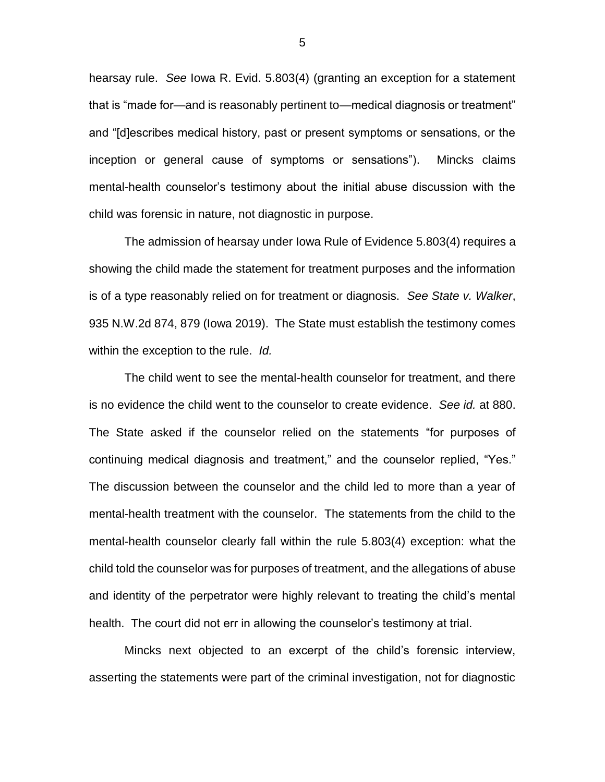hearsay rule. *See* Iowa R. Evid. 5.803(4) (granting an exception for a statement that is "made for—and is reasonably pertinent to—medical diagnosis or treatment" and "[d]escribes medical history, past or present symptoms or sensations, or the inception or general cause of symptoms or sensations"). Mincks claims mental-health counselor's testimony about the initial abuse discussion with the child was forensic in nature, not diagnostic in purpose.

The admission of hearsay under Iowa Rule of Evidence 5.803(4) requires a showing the child made the statement for treatment purposes and the information is of a type reasonably relied on for treatment or diagnosis. *See State v. Walker*, 935 N.W.2d 874, 879 (Iowa 2019). The State must establish the testimony comes within the exception to the rule. *Id.*

The child went to see the mental-health counselor for treatment, and there is no evidence the child went to the counselor to create evidence. *See id.* at 880. The State asked if the counselor relied on the statements "for purposes of continuing medical diagnosis and treatment," and the counselor replied, "Yes." The discussion between the counselor and the child led to more than a year of mental-health treatment with the counselor. The statements from the child to the mental-health counselor clearly fall within the rule 5.803(4) exception: what the child told the counselor was for purposes of treatment, and the allegations of abuse and identity of the perpetrator were highly relevant to treating the child's mental health. The court did not err in allowing the counselor's testimony at trial.

Mincks next objected to an excerpt of the child's forensic interview, asserting the statements were part of the criminal investigation, not for diagnostic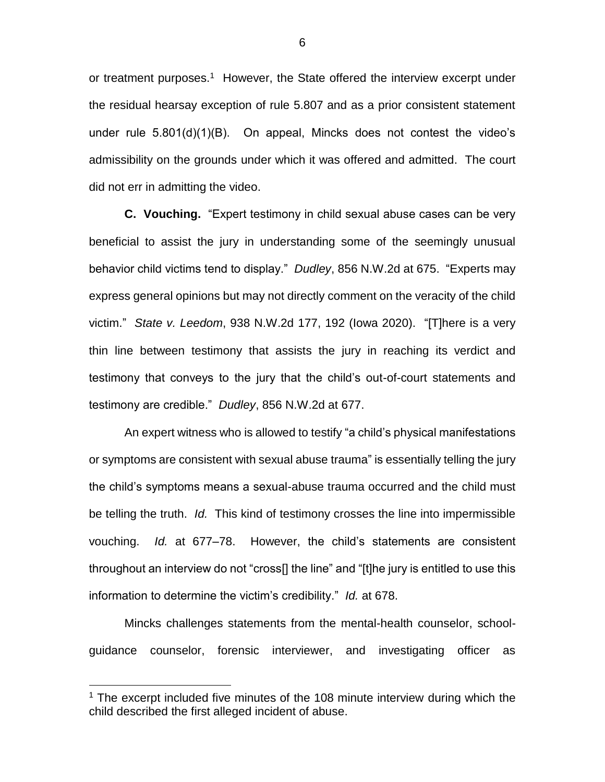or treatment purposes.<sup>1</sup> However, the State offered the interview excerpt under the residual hearsay exception of rule 5.807 and as a prior consistent statement under rule 5.801(d)(1)(B). On appeal, Mincks does not contest the video's admissibility on the grounds under which it was offered and admitted. The court did not err in admitting the video.

**C. Vouching.**"Expert testimony in child sexual abuse cases can be very beneficial to assist the jury in understanding some of the seemingly unusual behavior child victims tend to display." *Dudley*, 856 N.W.2d at 675. "Experts may express general opinions but may not directly comment on the veracity of the child victim." *State v. Leedom*, 938 N.W.2d 177, 192 (Iowa 2020). "[T]here is a very thin line between testimony that assists the jury in reaching its verdict and testimony that conveys to the jury that the child's out-of-court statements and testimony are credible." *Dudley*, 856 N.W.2d at 677.

An expert witness who is allowed to testify "a child's physical manifestations or symptoms are consistent with sexual abuse trauma" is essentially telling the jury the child's symptoms means a sexual-abuse trauma occurred and the child must be telling the truth. *Id.* This kind of testimony crosses the line into impermissible vouching. *Id.* at 677–78. However, the child's statements are consistent throughout an interview do not "cross[] the line" and "[t]he jury is entitled to use this information to determine the victim's credibility." *Id.* at 678.

Mincks challenges statements from the mental-health counselor, schoolguidance counselor, forensic interviewer, and investigating officer as

 $\overline{a}$ 

<sup>&</sup>lt;sup>1</sup> The excerpt included five minutes of the 108 minute interview during which the child described the first alleged incident of abuse.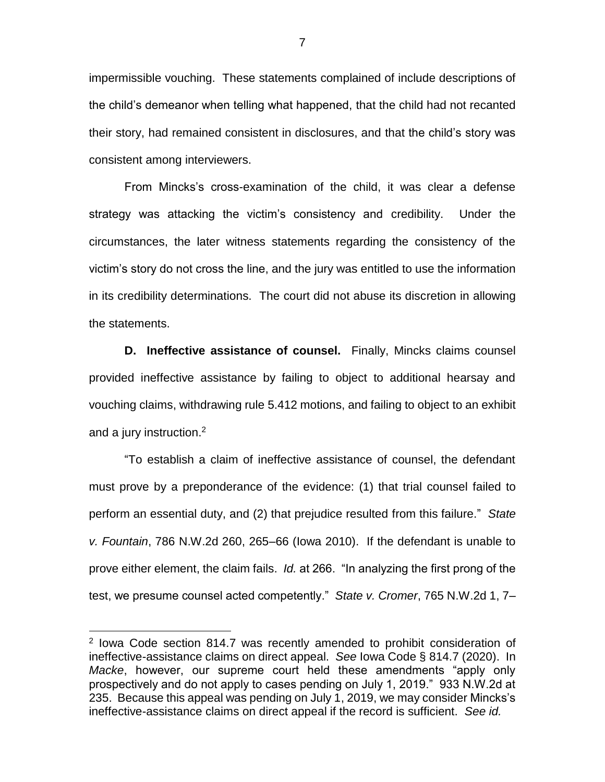impermissible vouching. These statements complained of include descriptions of the child's demeanor when telling what happened, that the child had not recanted their story, had remained consistent in disclosures, and that the child's story was consistent among interviewers.

From Mincks's cross-examination of the child, it was clear a defense strategy was attacking the victim's consistency and credibility. Under the circumstances, the later witness statements regarding the consistency of the victim's story do not cross the line, and the jury was entitled to use the information in its credibility determinations. The court did not abuse its discretion in allowing the statements.

**D.** Ineffective assistance of counsel. Finally, Mincks claims counsel provided ineffective assistance by failing to object to additional hearsay and vouching claims, withdrawing rule 5.412 motions, and failing to object to an exhibit and a jury instruction. $2$ 

"To establish a claim of ineffective assistance of counsel, the defendant must prove by a preponderance of the evidence: (1) that trial counsel failed to perform an essential duty, and (2) that prejudice resulted from this failure." *State v. Fountain*, 786 N.W.2d 260, 265–66 (Iowa 2010). If the defendant is unable to prove either element, the claim fails. *Id.* at 266. "In analyzing the first prong of the test, we presume counsel acted competently." *State v. Cromer*, 765 N.W.2d 1, 7–

 $\overline{a}$ 

<sup>&</sup>lt;sup>2</sup> Iowa Code section 814.7 was recently amended to prohibit consideration of ineffective-assistance claims on direct appeal. *See* Iowa Code § 814.7 (2020). In *Macke*, however, our supreme court held these amendments "apply only prospectively and do not apply to cases pending on July 1, 2019." 933 N.W.2d at 235. Because this appeal was pending on July 1, 2019, we may consider Mincks's ineffective-assistance claims on direct appeal if the record is sufficient. *See id.*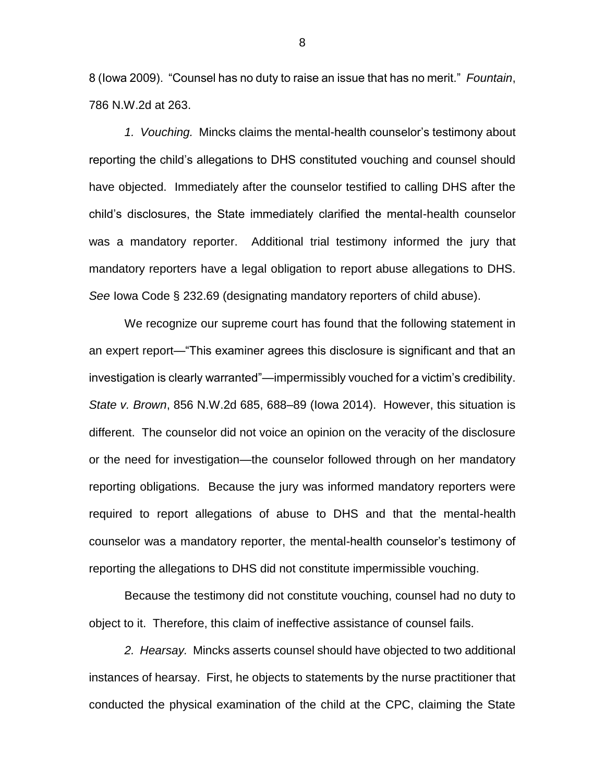8 (Iowa 2009). "Counsel has no duty to raise an issue that has no merit." *Fountain*, 786 N.W.2d at 263.

*1. Vouching.* Mincks claims the mental-health counselor's testimony about reporting the child's allegations to DHS constituted vouching and counsel should have objected. Immediately after the counselor testified to calling DHS after the child's disclosures, the State immediately clarified the mental-health counselor was a mandatory reporter. Additional trial testimony informed the jury that mandatory reporters have a legal obligation to report abuse allegations to DHS. *See* Iowa Code § 232.69 (designating mandatory reporters of child abuse).

We recognize our supreme court has found that the following statement in an expert report—"This examiner agrees this disclosure is significant and that an investigation is clearly warranted"—impermissibly vouched for a victim's credibility. *State v. Brown*, 856 N.W.2d 685, 688–89 (Iowa 2014). However, this situation is different. The counselor did not voice an opinion on the veracity of the disclosure or the need for investigation—the counselor followed through on her mandatory reporting obligations. Because the jury was informed mandatory reporters were required to report allegations of abuse to DHS and that the mental-health counselor was a mandatory reporter, the mental-health counselor's testimony of reporting the allegations to DHS did not constitute impermissible vouching.

Because the testimony did not constitute vouching, counsel had no duty to object to it. Therefore, this claim of ineffective assistance of counsel fails.

*2. Hearsay.* Mincks asserts counsel should have objected to two additional instances of hearsay. First, he objects to statements by the nurse practitioner that conducted the physical examination of the child at the CPC, claiming the State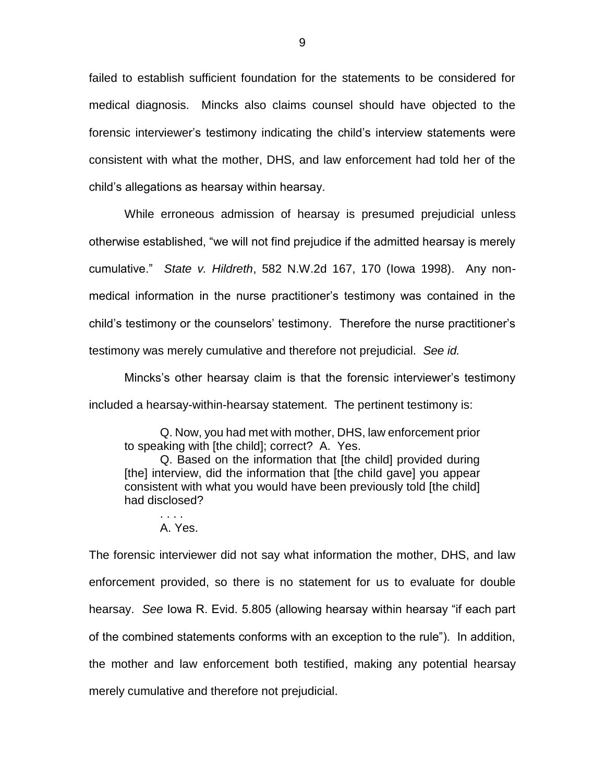failed to establish sufficient foundation for the statements to be considered for medical diagnosis. Mincks also claims counsel should have objected to the forensic interviewer's testimony indicating the child's interview statements were consistent with what the mother, DHS, and law enforcement had told her of the child's allegations as hearsay within hearsay.

While erroneous admission of hearsay is presumed prejudicial unless otherwise established, "we will not find prejudice if the admitted hearsay is merely cumulative." *State v. Hildreth*, 582 N.W.2d 167, 170 (Iowa 1998). Any nonmedical information in the nurse practitioner's testimony was contained in the child's testimony or the counselors' testimony. Therefore the nurse practitioner's testimony was merely cumulative and therefore not prejudicial. *See id.*

Mincks's other hearsay claim is that the forensic interviewer's testimony included a hearsay-within-hearsay statement. The pertinent testimony is:

Q. Now, you had met with mother, DHS, law enforcement prior to speaking with [the child]; correct? A. Yes.

Q. Based on the information that [the child] provided during [the] interview, did the information that [the child gave] you appear consistent with what you would have been previously told [the child] had disclosed?

. . . . A. Yes.

The forensic interviewer did not say what information the mother, DHS, and law enforcement provided, so there is no statement for us to evaluate for double hearsay. *See* Iowa R. Evid. 5.805 (allowing hearsay within hearsay "if each part of the combined statements conforms with an exception to the rule"). In addition, the mother and law enforcement both testified, making any potential hearsay merely cumulative and therefore not prejudicial.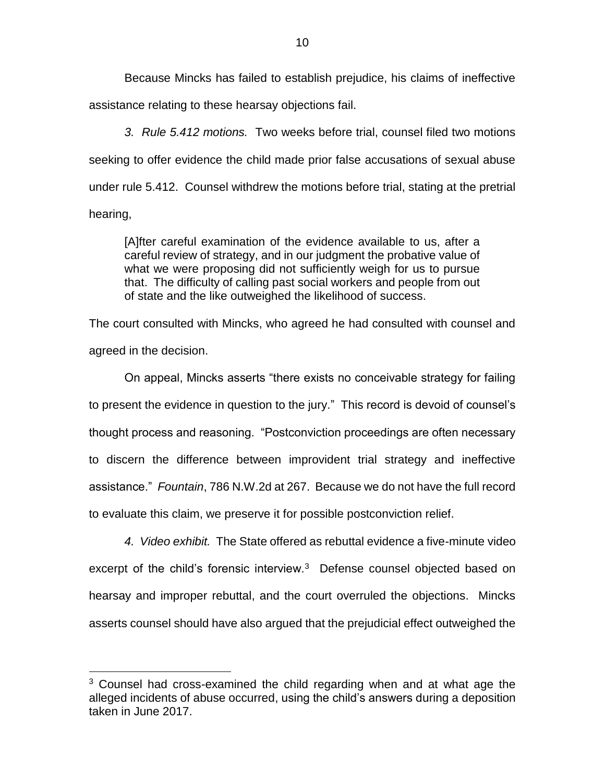Because Mincks has failed to establish prejudice, his claims of ineffective assistance relating to these hearsay objections fail.

*3. Rule 5.412 motions.* Two weeks before trial, counsel filed two motions seeking to offer evidence the child made prior false accusations of sexual abuse under rule 5.412. Counsel withdrew the motions before trial, stating at the pretrial hearing,

[A]fter careful examination of the evidence available to us, after a careful review of strategy, and in our judgment the probative value of what we were proposing did not sufficiently weigh for us to pursue that. The difficulty of calling past social workers and people from out of state and the like outweighed the likelihood of success.

The court consulted with Mincks, who agreed he had consulted with counsel and agreed in the decision.

On appeal, Mincks asserts "there exists no conceivable strategy for failing to present the evidence in question to the jury." This record is devoid of counsel's thought process and reasoning. "Postconviction proceedings are often necessary to discern the difference between improvident trial strategy and ineffective assistance." *Fountain*, 786 N.W.2d at 267. Because we do not have the full record to evaluate this claim, we preserve it for possible postconviction relief.

*4. Video exhibit.* The State offered as rebuttal evidence a five-minute video excerpt of the child's forensic interview.<sup>3</sup> Defense counsel objected based on hearsay and improper rebuttal, and the court overruled the objections. Mincks asserts counsel should have also argued that the prejudicial effect outweighed the

 $\overline{a}$ 

 $3$  Counsel had cross-examined the child regarding when and at what age the alleged incidents of abuse occurred, using the child's answers during a deposition taken in June 2017.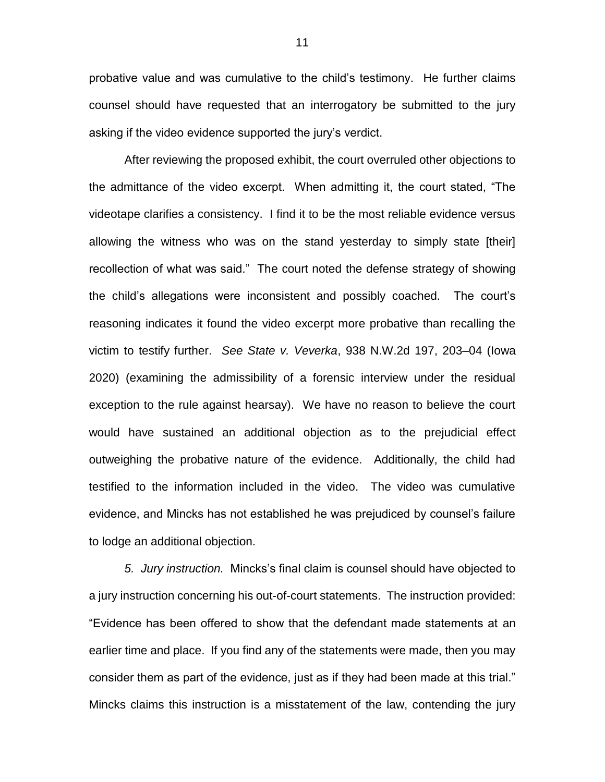probative value and was cumulative to the child's testimony. He further claims counsel should have requested that an interrogatory be submitted to the jury asking if the video evidence supported the jury's verdict.

After reviewing the proposed exhibit, the court overruled other objections to the admittance of the video excerpt. When admitting it, the court stated, "The videotape clarifies a consistency. I find it to be the most reliable evidence versus allowing the witness who was on the stand yesterday to simply state [their] recollection of what was said." The court noted the defense strategy of showing the child's allegations were inconsistent and possibly coached. The court's reasoning indicates it found the video excerpt more probative than recalling the victim to testify further. *See State v. Veverka*, 938 N.W.2d 197, 203–04 (Iowa 2020) (examining the admissibility of a forensic interview under the residual exception to the rule against hearsay). We have no reason to believe the court would have sustained an additional objection as to the prejudicial effect outweighing the probative nature of the evidence. Additionally, the child had testified to the information included in the video. The video was cumulative evidence, and Mincks has not established he was prejudiced by counsel's failure to lodge an additional objection.

*5. Jury instruction.* Mincks's final claim is counsel should have objected to a jury instruction concerning his out-of-court statements. The instruction provided: "Evidence has been offered to show that the defendant made statements at an earlier time and place. If you find any of the statements were made, then you may consider them as part of the evidence, just as if they had been made at this trial." Mincks claims this instruction is a misstatement of the law, contending the jury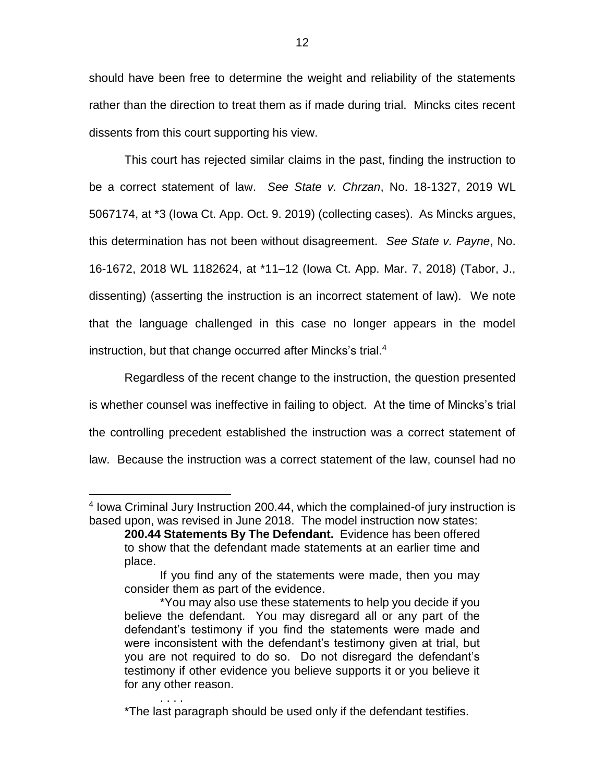should have been free to determine the weight and reliability of the statements rather than the direction to treat them as if made during trial. Mincks cites recent dissents from this court supporting his view.

This court has rejected similar claims in the past, finding the instruction to be a correct statement of law. *See State v. Chrzan*, No. 18-1327, 2019 WL 5067174, at \*3 (Iowa Ct. App. Oct. 9. 2019) (collecting cases). As Mincks argues, this determination has not been without disagreement. *See State v. Payne*, No. 16-1672, 2018 WL 1182624, at \*11–12 (Iowa Ct. App. Mar. 7, 2018) (Tabor, J., dissenting) (asserting the instruction is an incorrect statement of law). We note that the language challenged in this case no longer appears in the model instruction, but that change occurred after Mincks's trial.<sup>4</sup>

Regardless of the recent change to the instruction, the question presented is whether counsel was ineffective in failing to object. At the time of Mincks's trial the controlling precedent established the instruction was a correct statement of law. Because the instruction was a correct statement of the law, counsel had no

 $\overline{a}$ 

. . . .

<sup>4</sup> Iowa Criminal Jury Instruction 200.44, which the complained-of jury instruction is based upon, was revised in June 2018. The model instruction now states:

**<sup>200.44</sup> Statements By The Defendant.** Evidence has been offered to show that the defendant made statements at an earlier time and place.

If you find any of the statements were made, then you may consider them as part of the evidence.

<sup>\*</sup>You may also use these statements to help you decide if you believe the defendant. You may disregard all or any part of the defendant's testimony if you find the statements were made and were inconsistent with the defendant's testimony given at trial, but you are not required to do so. Do not disregard the defendant's testimony if other evidence you believe supports it or you believe it for any other reason.

<sup>\*</sup>The last paragraph should be used only if the defendant testifies.